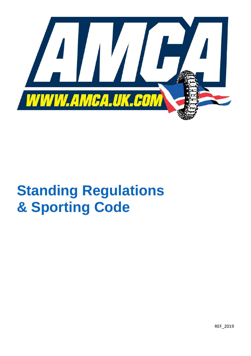

# **Standing Regulations & Sporting Code**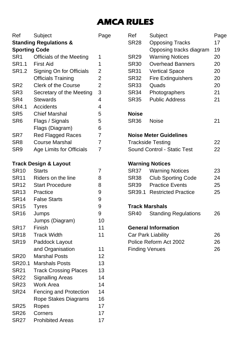## **AMCA RULES**

Ref Subject Page **Standing Regulations & Sporting Code** SR1 Officials of the Meeting 1 SR1.1 First Aid 1 SR1.2 Signing On for Officials 2 Officials Training 2 SR2 Clerk of the Course 2 SR3 Secretary of the Meeting 3 SR4 Stewards 4 SR4.1 Accidents 4 SR5 Chief Marshal 5 SR6 Flags / Signals 5 Flags (Diagram) 6 SR7 Red Flagged Races 7 SR8 Course Marshal 7 SR9 Age Limits for Officials 7 **Track Design & Layout** SR10 Starts 7 SR11 Riders on the line 8 SR12 Start Procedure 8 SR13 Practice 9 SR14 False Starts 9 SR15 Tyres 9 SR16 Jumps 9 Jumps (Diagram) 10 SR17 Finish 11 SR<sub>18</sub> Track Width 11 SR19 Paddock Layout and Organisation 11 SR<sub>20</sub> Marshal Posts 12 SR<sub>20.1</sub> Marshals Posts 13 SR21 Track Crossing Places 13 SR22 Signalling Areas 14 SR23 Work Area 14 SR24 Fencing and Protection 14 Rope Stakes Diagrams 16 SR25 Ropes 17 SR<sub>26</sub> Corners 17 SR<sub>27</sub> Prohibited Areas 17

| Ref                         | Subject                       | Page |  |  |
|-----------------------------|-------------------------------|------|--|--|
| <b>SR28</b>                 | <b>Opposing Tracks</b>        | 17   |  |  |
|                             | Opposing tracks diagram       | 19   |  |  |
| <b>SR29</b>                 | <b>Warning Notices</b>        | 20   |  |  |
| <b>SR30</b>                 | <b>Overhead Banners</b>       | 20   |  |  |
| <b>SR31</b>                 | <b>Vertical Space</b>         | 20   |  |  |
| <b>SR32</b>                 | <b>Fire Extinguishers</b>     | 20   |  |  |
| SR33                        | Quads                         | 20   |  |  |
| SR <sub>34</sub>            | Photographers                 | 21   |  |  |
| <b>SR35</b>                 | <b>Public Address</b>         | 21   |  |  |
| <b>Noise</b>                |                               |      |  |  |
| <b>SR36</b>                 | Noise                         | 21   |  |  |
|                             | <b>Noise Meter Guidelines</b> |      |  |  |
| <b>Trackside Testing</b>    |                               |      |  |  |
| Sound Control - Static Test |                               |      |  |  |
| <b>Warning Notices</b>      |                               |      |  |  |
| <b>SR37</b>                 | <b>Warning Notices</b>        | 23   |  |  |
| SR38                        | <b>Club Sporting Code</b>     | 24   |  |  |
| SR39                        | <b>Practice Events</b>        | 25   |  |  |
|                             | SR39.1 Restricted Practice    | 25   |  |  |
| <b>Track Marshals</b>       |                               |      |  |  |
| <b>SR40</b>                 | <b>Standing Regulations</b>   | 26   |  |  |
|                             | <b>General Information</b>    |      |  |  |
| Car Park Liability          | 26                            |      |  |  |
| Police Reform Act 2002      | 26                            |      |  |  |
| <b>Finding Venues</b>       |                               |      |  |  |
|                             |                               |      |  |  |
|                             |                               |      |  |  |
|                             |                               |      |  |  |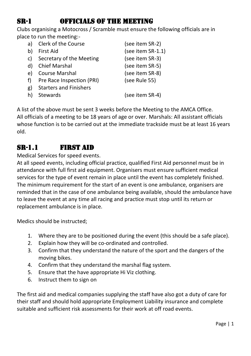## SR-1 Officials of the Meeting

Clubs organising a Motocross / Scramble must ensure the following officials are in place to run the meeting:-

| a) | Clerk of the Course           | (see item SR-2)      |
|----|-------------------------------|----------------------|
| b) | First Aid                     | (see item $SR-1.1$ ) |
| c) | Secretary of the Meeting      | (see item SR-3)      |
| d) | <b>Chief Marshal</b>          | (see item SR-5)      |
| e) | <b>Course Marshal</b>         | (see item SR-8)      |
| f) | Pre Race Inspection (PRI)     | (see Rule 55)        |
| g) | <b>Starters and Finishers</b> |                      |
|    | Stewards                      | (see item SR-4)      |
|    |                               |                      |

A list of the above must be sent 3 weeks before the Meeting to the AMCA Office. All officials of a meeting to be 18 years of age or over. Marshals: All assistant officials whose function is to be carried out at the immediate trackside must be at least 16 years old.

## SR-1.1 First Aid

Medical Services for speed events.

At all speed events, including official practice, qualified First Aid personnel must be in attendance with full first aid equipment. Organisers must ensure sufficient medical services for the type of event remain in place until the event has completely finished. The minimum requirement for the start of an event is one ambulance, organisers are reminded that in the case of one ambulance being available, should the ambulance have to leave the event at any time all racing and practice must stop until its return or replacement ambulance is in place.

Medics should be instructed;

- 1. Where they are to be positioned during the event (this should be a safe place).
- 2. Explain how they will be co-ordinated and controlled.
- 3. Confirm that they understand the nature of the sport and the dangers of the moving bikes.
- 4. Confirm that they understand the marshal flag system.
- 5. Ensure that the have appropriate Hi Viz clothing.
- 6. Instruct them to sign on

The first aid and medical companies supplying the staff have also got a duty of care for their staff and should hold appropriate Employment Liability insurance and complete suitable and sufficient risk assessments for their work at off road events.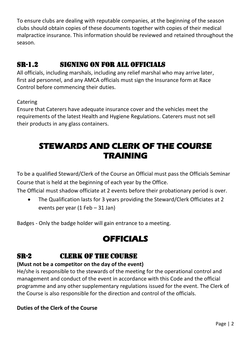To ensure clubs are dealing with reputable companies, at the beginning of the season clubs should obtain copies of these documents together with copies of their medical malpractice insurance. This information should be reviewed and retained throughout the season.

## SR-1.2 Signing on for all Officials

All officials, including marshals, including any relief marshal who may arrive later, first aid personnel, and any AMCA officials must sign the Insurance form at Race Control before commencing their duties.

**Catering** 

Ensure that Caterers have adequate insurance cover and the vehicles meet the requirements of the latest Health and Hygiene Regulations. Caterers must not sell their products in any glass containers.

## **STEWARDS AND CLERK OF THE COURSE TRAINING**

To be a qualified Steward/Clerk of the Course an Official must pass the Officials Seminar Course that is held at the beginning of each year by the Office.

The Official must shadow officiate at 2 events before their probationary period is over.

• The Qualification lasts for 3 years providing the Steward/Clerk Officiates at 2 events per year (1 Feb – 31 Jan)

Badges - Only the badge holder will gain entrance to a meeting.

## **OFFICIALS**

## SR-2 Clerk of the Course

#### **(Must not be a competitor on the day of the event)**

He/she is responsible to the stewards of the meeting for the operational control and management and conduct of the event in accordance with this Code and the official programme and any other supplementary regulations issued for the event. The Clerk of the Course is also responsible for the direction and control of the officials.

#### **Duties of the Clerk of the Course**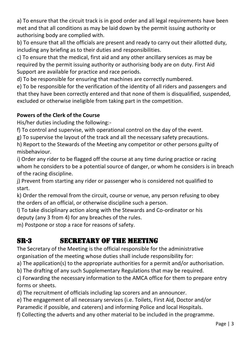a) To ensure that the circuit track is in good order and all legal requirements have been met and that all conditions as may be laid down by the permit issuing authority or authorising body are complied with.

b) To ensure that all the officials are present and ready to carry out their allotted duty, including any briefing as to their duties and responsibilities.

c) To ensure that the medical, first aid and any other ancillary services as may be required by the permit issuing authority or authorising body are on duty. First Aid Support are available for practice and race periods.

d) To be responsible for ensuring that machines are correctly numbered.

e) To be responsible for the verification of the identity of all riders and passengers and that they have been correctly entered and that none of them is disqualified, suspended, excluded or otherwise ineligible from taking part in the competition.

#### **Powers of the Clerk of the Course**

His/her duties including the following:-

f) To control and supervise, with operational control on the day of the event.

g) To supervise the layout of the track and all the necessary safety precautions.

h) Report to the Stewards of the Meeting any competitor or other persons guilty of misbehaviour.

i) Order any rider to be flagged off the course at any time during practice or racing whom he considers to be a potential source of danger, or whom he considers is in breach of the racing discipline.

j) Prevent from starting any rider or passenger who is considered not qualified to start.

k) Order the removal from the circuit, course or venue, any person refusing to obey the orders of an official, or otherwise discipline such a person.

l) To take disciplinary action along with the Stewards and Co-ordinator or his deputy (any 3 from 4) for any breaches of the rules.

m) Postpone or stop a race for reasons of safety.

### SR-3 Secretary of the Meeting

The Secretary of the Meeting is the official responsible for the administrative organisation of the meeting whose duties shall include responsibility for:

a) The application(s) to the appropriate authorities for a permit and/or authorisation.

b) The drafting of any such Supplementary Regulations that may be required.

c) Forwarding the necessary information to the AMCA office for them to prepare entry forms or sheets.

d) The recruitment of officials including lap scorers and an announcer.

e) The engagement of all necessary services (i.e. Toilets, First Aid, Doctor and/or

Paramedic if possible, and caterers) and informing Police and local Hospitals.

f) Collecting the adverts and any other material to be included in the programme.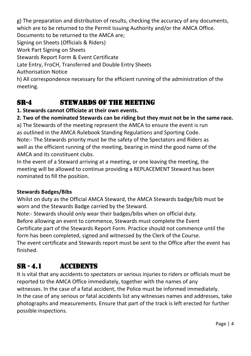g) The preparation and distribution of results, checking the accuracy of any documents, which are to be returned to the Permit Issuing Authority and/or the AMCA Office. Documents to be returned to the AMCA are; Signing on Sheets (Officials & Riders) Work Part Signing on Sheets Stewards Report Form & Event Certificate Late Entry, FroCH, Transferred and Double Entry Sheets Authorisation Notice

h) All correspondence necessary for the efficient running of the administration of the meeting.

## SR-4 STEWARDS OF THE MEETING

#### **1. Stewards cannot Officiate at their own events.**

**2. Two of the nominated Stewards can be riding but they must not be in the same race.**

a) The Stewards of the meeting represent the AMCA to ensure the event is run as outlined in the AMCA Rulebook Standing Regulations and Sporting Code. Note:- The Stewards priority must be the safety of the Spectators and Riders as well as the efficient running of the meeting, bearing in mind the good name of the AMCA and its constituent clubs.

In the event of a Steward arriving at a meeting, or one leaving the meeting, the meeting will be allowed to continue providing a REPLACEMENT Steward has been nominated to fill the position.

#### **Stewards Badges/Bibs**

Whilst on duty as the Official AMCA Steward, the AMCA Stewards badge/bib must be worn and the Stewards Badge carried by the Steward.

Note:- Stewards should only wear their badges/bibs when on official duty.

Before allowing an event to commence, Stewards must complete the Event

Certificate part of the Stewards Report Form. Practice should not commence until the form has been completed, signed and witnessed by the Clerk of the Course.

The event certificate and Stewards report must be sent to the Office after the event has finished.

## SR - 4.1 Accidents

It is vital that any accidents to spectators or serious injuries to riders or officials must be reported to the AMCA Office immediately, together with the names of any witnesses. In the case of a fatal accident, the Police must be informed immediately. In the case of any serious or fatal accidents list any witnesses names and addresses, take photographs and measurements. Ensure that part of the track is left erected for further possible inspections.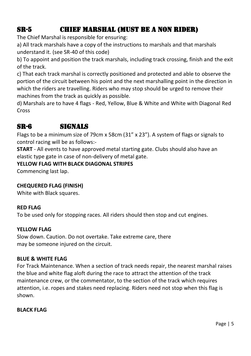## SR-5 Chief Marshal (Must be a Non Rider)

The Chief Marshal is responsible for ensuring:

a) All track marshals have a copy of the instructions to marshals and that marshals understand it. (see SR-40 of this code)

b) To appoint and position the track marshals, including track crossing, finish and the exit of the track.

c) That each track marshal is correctly positioned and protected and able to observe the portion of the circuit between his point and the next marshalling point in the direction in which the riders are travelling. Riders who may stop should be urged to remove their machines from the track as quickly as possible.

d) Marshals are to have 4 flags - Red, Yellow, Blue & White and White with Diagonal Red Cross

#### SR-6 Signals

Flags to be a minimum size of 79cm x 58cm (31" x 23"). A system of flags or signals to control racing will be as follows:-

**START** - All events to have approved metal starting gate. Clubs should also have an elastic type gate in case of non-delivery of metal gate.

#### **YELLOW FLAG WITH BLACK DIAGONAL STRIPES**

Commencing last lap.

#### **CHEQUERED FLAG (FINISH)**

White with Black squares.

#### **RED FLAG**

To be used only for stopping races. All riders should then stop and cut engines.

#### **YELLOW FLAG**

Slow down. Caution. Do not overtake. Take extreme care, there may be someone injured on the circuit.

#### **BLUE & WHITE FLAG**

For Track Maintenance. When a section of track needs repair, the nearest marshal raises the blue and white flag aloft during the race to attract the attention of the track maintenance crew, or the commentator, to the section of the track which requires attention, i.e. ropes and stakes need replacing. Riders need not stop when this flag is shown.

**BLACK FLAG**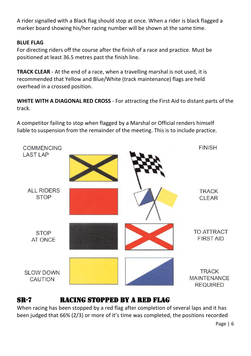A rider signalled with a Black flag should stop at once. When a rider is black flagged a marker board showing his/her racing number will be shown at the same time.

#### **BLUE FLAG**

For directing riders off the course after the finish of a race and practice. Must be positioned at least 36.5 metres past the finish line.

**TRACK CLEAR** - At the end of a race, when a travelling marshal is not used, it is recommended that Yellow and Blue/White (track maintenance) flags are held overhead in a crossed position.

**WHITE WITH A DIAGONAL RED CROSS** - For attracting the First Aid to distant parts of the track.

A competitor failing to stop when flagged by a Marshal or Official renders himself liable to suspension from the remainder of the meeting. This is to include practice.



#### SR-7 Racing Stopped by a Red Flag

When racing has been stopped by a red flag after completion of several laps and it has been judged that 66% (2/3) or more of it's time was completed, the positions recorded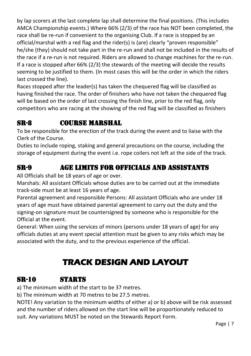by lap scorers at the last complete lap shall determine the final positions. (This includes AMCA Championship events.) Where 66% (2/3) of the race has NOT been completed, the race shall be re-run if convenient to the organising Club. If a race is stopped by an official/marshal with a red flag and the rider(s) is (are) clearly "proven responsible" he/she (they) should not take part in the re-run and shall not be included in the results of the race if a re-run is not required. Riders are allowed to change machines for the re-run. If a race is stopped after 66% (2/3) the stewards of the meeting will decide the results seeming to be justified to them. (In most cases this will be the order in which the riders last crossed the line).

Races stopped after the leader(s) has taken the chequered flag will be classified as having finished the race. The order of finishers who have not taken the chequered flag will be based on the order of last crossing the finish line, prior to the red flag, only competitors who are racing at the showing of the red flag will be classified as finishers

## SR-8 Course Marshal

To be responsible for the erection of the track during the event and to liaise with the Clerk of the Course.

Duties to include roping, staking and general precautions on the course, including the storage of equipment during the event i.e. rope coilers not left at the side of the track.

### SR-9 Age Limits for Officials and Assistants

All Officials shall be 18 years of age or over.

Marshals: All assistant Officials whose duties are to be carried out at the immediate track-side must be at least 16 years of age.

Parental agreement and responsible Persons: All assistant Officials who are under 18 years of age must have obtained parental agreement to carry out the duty and the signing-on signature must be countersigned by someone who is responsible for the Official at the event.

General: When using the services of minors (persons under 18 years of age) for any officials duties at any event special attention must be given to any risks which may be associated with the duty, and to the previous experience of the official.

## **TRACK DESIGN AND LAYOUT**

#### SR-10 Starts

a) The minimum width of the start to be 37 metres.

b) The minimum width at 70 metres to be 27.5 metres.

NOTE! Any variation to the minimum widths of either a) or b) above will be risk assessed and the number of riders allowed on the start line will be proportionately reduced to suit. Any variations MUST be noted on the Stewards Report Form.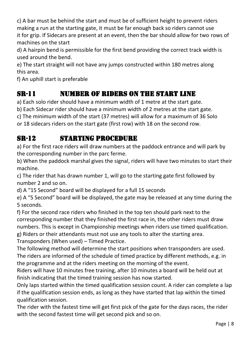c) A bar must be behind the start and must be of sufficient height to prevent riders making a run at the starting gate, it must be far enough back so riders cannot use it for grip. If Sidecars are present at an event, then the bar should allow for two rows of machines on the start

d) A hairpin bend is permissible for the first bend providing the correct track width is used around the bend.

e) The start straight will not have any jumps constructed within 180 metres along this area.

f) An uphill start is preferable

## SR-11 Number of Riders on the start line

a) Each solo rider should have a minimum width of 1 metre at the start gate.

b) Each Sidecar rider should have a minimum width of 2 metres at the start gate.

c) The minimum width of the start (37 metres) will allow for a maximum of 36 Solo

or 18 sidecars riders on the start gate (first row) with 18 on the second row.

## SR-12 Starting Procedure

a) For the first race riders will draw numbers at the paddock entrance and will park by the corresponding number in the parc ferme.

b) When the paddock marshal gives the signal, riders will have two minutes to start their machine.

c) The rider that has drawn number 1, will go to the starting gate first followed by number 2 and so on.

d) A "15 Second" board will be displayed for a full 15 seconds

e) A "5 Second" board will be displayed, the gate may be released at any time during the 5 seconds.

f) For the second race riders who finished in the top ten should park next to the corresponding number that they finished the first race in, the other riders must draw numbers. This is except in Championship meetings when riders use timed qualification. g) Riders or their attendants must not use any tools to alter the starting area. Transponders (When used) – Timed Practice.

The following method will determine the start positions when transponders are used. The riders are informed of the schedule of timed practice by different methods, e.g. in the programme and at the riders meeting on the morning of the event.

Riders will have 10 minutes free training, after 10 minutes a board will be held out at finish indicating that the timed training session has now started.

Only laps started within the timed qualification session count. A rider can complete a lap if the qualification session ends, as long as they have started that lap within the timed qualification session.

The rider with the fastest time will get first pick of the gate for the days races, the rider with the second fastest time will get second pick and so on.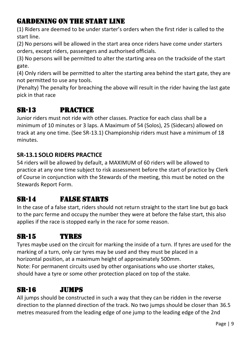#### GARDENING on the start line

(1) Riders are deemed to be under starter's orders when the first rider is called to the start line.

(2) No persons will be allowed in the start area once riders have come under starters orders, except riders, passengers and authorised officials.

(3) No persons will be permitted to alter the starting area on the trackside of the start gate.

(4) Only riders will be permitted to alter the starting area behind the start gate, they are not permitted to use any tools.

(Penalty) The penalty for breaching the above will result in the rider having the last gate pick in that race

## SR-13 Practice

Junior riders must not ride with other classes. Practice for each class shall be a minimum of 10 minutes or 3 laps. A Maximum of 54 (Solos), 25 (Sidecars) allowed on track at any one time. (See SR-13.1) Championship riders must have a minimum of 18 minutes.

#### **SR-13.1 SOLO RIDERS PRACTICE**

54 riders will be allowed by default, a MAXIMUM of 60 riders will be allowed to practice at any one time subject to risk assessment before the start of practice by Clerk of Course in conjunction with the Stewards of the meeting, this must be noted on the Stewards Report Form.

## SR-14 False Starts

In the case of a false start, riders should not return straight to the start line but go back to the parc ferme and occupy the number they were at before the false start, this also applies if the race is stopped early in the race for some reason.

### SR-15 Tyres

Tyres maybe used on the circuit for marking the inside of a turn. If tyres are used for the marking of a turn, only car tyres may be used and they must be placed in a horizontal position, at a maximum height of approximately 500mm. Note: For permanent circuits used by other organisations who use shorter stakes, should have a tyre or some other protection placed on top of the stake.

#### SR-16 Jumps

All jumps should be constructed in such a way that they can be ridden in the reverse direction to the planned direction of the track. No two jumps should be closer than 36.5 metres measured from the leading edge of one jump to the leading edge of the 2nd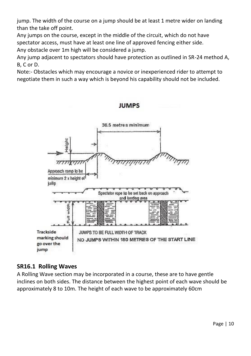jump. The width of the course on a jump should be at least 1 metre wider on landing than the take off point.

Any jumps on the course, except in the middle of the circuit, which do not have spectator access, must have at least one line of approved fencing either side. Any obstacle over 1m high will be considered a jump.

Any jump adjacent to spectators should have protection as outlined in SR-24 method A, B, C or D.

Note:- Obstacles which may encourage a novice or inexperienced rider to attempt to negotiate them in such a way which is beyond his capability should not be included.



#### **IUMPS**

#### **SR16.1 Rolling Waves**

A Rolling Wave section may be incorporated in a course, these are to have gentle inclines on both sides. The distance between the highest point of each wave should be approximately 8 to 10m. The height of each wave to be approximately 60cm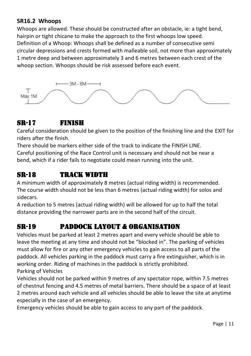#### **SR16.2 Whoops**

Whoops are allowed. These should be constructed after an obstacle, ie: a tight bend, hairpin or tight chicane to make the approach to the first whoops low speed. Definition of a Whoop: Whoops shall be defined as a number of consecutive semi circular depressions and crests formed with malleable soil, not more than approximately 1 metre deep and between approximately 3 and 6 metres between each crest of the whoop section. Whoops should be risk assessed before each event.



### SR-17 Finish

Careful consideration should be given to the position of the finishing line and the EXIT for riders after the finish.

There should be markers either side of the track to indicate the FINISH LINE. Careful positioning of the Race Control unit is necessary and should not be near a bend, which if a rider fails to negotiate could mean running into the unit.

## SR-18 TRACK WIDTH

A minimum width of approximately 8 metres (actual riding width) is recommended. The course width should not be less than 6 metres (actual riding width) for solos and sidecars.

A reduction to 5 metres (actual riding width) will be allowed for up to half the total distance providing the narrower parts are in the second half of the circuit.

## SR-19 Paddock Layout & Organisation

Vehicles must be parked at least 2 metres apart and every vehicle should be able to leave the meeting at any time and should not be "blocked in". The parking of vehicles must allow for fire or any other emergency vehicles to gain access to all parts of the paddock. All vehicles parking in the paddock must carry a fire extinguisher, which is in working order. Riding of machines in the paddock is strictly prohibited. Parking of Vehicles

Vehicles should not be parked within 9 metres of any spectator rope, within 7.5 metres of chestnut fencing and 4.5 metres of metal barriers. There should be a space of at least 2 metres around each vehicle and all vehicles should be able to leave the site at anytime especially in the case of an emergency.

Emergency vehicles should be able to gain access to any part of the paddock.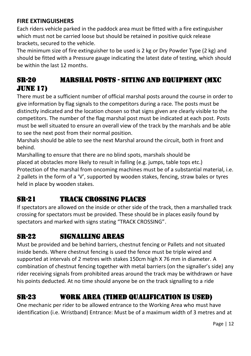#### **FIRE EXTINGUISHERS**

Each riders vehicle parked in the paddock area must be fitted with a fire extinguisher which must not be carried loose but should be retained in positive quick release brackets, secured to the vehicle.

The minimum size of fire extinguisher to be used is 2 kg or Dry Powder Type (2 kg) and should be fitted with a Pressure gauge indicating the latest date of testing, which should be within the last 12 months.

## SR-20 Marshal Posts - Siting and Equipment (MXC JUNE 17)

There must be a sufficient number of official marshal posts around the course in order to give information by flag signals to the competitors during a race. The posts must be distinctly indicated and the location chosen so that signs given are clearly visible to the competitors. The number of the flag marshal post must be indicated at each post. Posts must be well situated to ensure an overall view of the track by the marshals and be able to see the next post from their normal position.

Marshals should be able to see the next Marshal around the circuit, both in front and behind.

Marshalling to ensure that there are no blind spots, marshals should be placed at obstacles more likely to result in falling (e.g. jumps, table tops etc.) Protection of the marshal from oncoming machines must be of a substantial material, i.e. 2 pallets in the form of a 'V', supported by wooden stakes, fencing, straw bales or tyres held in place by wooden stakes.

## SR-21 Track Crossing Places

If spectators are allowed on the inside or other side of the track, then a marshalled track crossing for spectators must be provided. These should be in places easily found by spectators and marked with signs stating "TRACK CROSSING".

### SR-22 Signalling Areas

Must be provided and be behind barriers, chestnut fencing or Pallets and not situated inside bends. Where chestnut fencing is used the fence must be triple wired and supported at intervals of 2 metres with stakes 150cm high X 76 mm in diameter. A combination of chestnut fencing together with metal barriers (on the signaller's side) any rider receiving signals from prohibited areas around the track may be withdrawn or have his points deducted. At no time should anyone be on the track signalling to a ride

## SR-23 Work Area (timed qualification is used)

One mechanic per rider to be allowed entrance to the Working Area who must have identification (i.e. Wristband) Entrance: Must be of a maximum width of 3 metres and at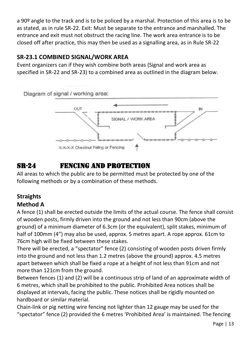a 90º angle to the track and is to be policed by a marshal. Protection of this area is to be as stated, as in rule SR-22. Exit: Must be separate to the entrance and marshalled. The entrance and exit must not obstruct the racing line. The work area entrance is to be closed off after practice, this may then be used as a signalling area, as in Rule SR-22

#### **SR-23.1 COMBINED SIGNAL/WORK AREA**

Event organizers can if they wish combine both areas (Signal and work area as specified in SR-22 and SR-23) to a combined area as outlined in the diagram below.



## SR-24 Fencing and Protection

All areas to which the public are to be permitted must be protected by one of the following methods or by a combination of these methods.

## **Straights**

#### **Method A**

A fence (1) shall be erected outside the limits of the actual course. The fence shall consist of wooden posts, firmly driven into the ground and not less than 90cm (above the ground) of a minimum diameter of 6.3cm (or the equivalent), split stakes, minimum of half of 100mm (4") may also be used, approx. 5 metres apart. A rope approx. 61cm to 76cm high will be fixed between these stakes.

There will be erected, a "spectator" fence (2) consisting of wooden posts driven firmly into the ground and not less than 1.2 metres (above the ground) approx. 4.5 metres apart between which shall be fixed a rope at a height of not less than 91cm and not more than 121cm from the ground.

Between fences (1) and (2) will be a continuous strip of land of an approximate width of 6 metres, which shall be prohibited to the public. Prohibited Area notices shall be displayed at intervals, facing the public. These notices shall be rigidly mounted on hardboard or similar material.

Chain-link or pig netting wire fencing not lighter than 12 gauge may be used for the "spectator" fence (2) provided the 6 metres 'Prohibited Area' is maintained. The fencing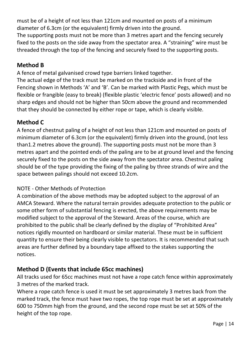must be of a height of not less than 121cm and mounted on posts of a minimum diameter of 6.3cm (or the equivalent) firmly driven into the ground. The supporting posts must not be more than 3 metres apart and the fencing securely fixed to the posts on the side away from the spectator area. A "straining" wire must be threaded through the top of the fencing and securely fixed to the supporting posts.

#### **Method B**

A fence of metal galvanised crowd type barriers linked together.

The actual edge of the track must be marked on the trackside and in front of the Fencing shown in Methods 'A' and 'B'. Can be marked with Plastic Pegs, which must be flexible or frangible (easy to break) (flexible plastic 'electric fence' posts allowed) and no sharp edges and should not be higher than 50cm above the ground and recommended that they should be connected by either rope or tape, which is clearly visible.

#### **Method C**

A fence of chestnut paling of a height of not less than 121cm and mounted on posts of minimum diameter of 6.3cm (or the equivalent) firmly driven into the ground, (not less than1.2 metres above the ground). The supporting posts must not be more than 3 metres apart and the pointed ends of the paling are to be at ground level and the fencing securely fixed to the posts on the side away from the spectator area. Chestnut paling should be of the type providing the fixing of the paling by three strands of wire and the space between palings should not exceed 10.2cm.

#### NOTE - Other Methods of Protection

A combination of the above methods may be adopted subject to the approval of an AMCA Steward. Where the natural terrain provides adequate protection to the public or some other form of substantial fencing is erected, the above requirements may be modified subject to the approval of the Steward. Areas of the course, which are prohibited to the public shall be clearly defined by the display of "Prohibited Area" notices rigidly mounted on hardboard or similar material. These must be in sufficient quantity to ensure their being clearly visible to spectators. It is recommended that such areas are further defined by a boundary tape affixed to the stakes supporting the notices.

#### **Method D (Events that include 65cc machines)**

All tracks used for 65cc machines must not have a rope catch fence within approximately 3 metres of the marked track.

Where a rope catch fence is used it must be set approximately 3 metres back from the marked track, the fence must have two ropes, the top rope must be set at approximately 600 to 750mm high from the ground, and the second rope must be set at 50% of the height of the top rope.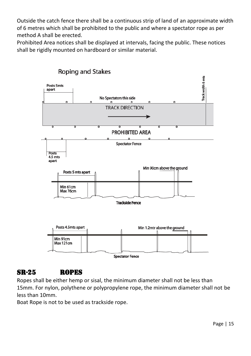Outside the catch fence there shall be a continuous strip of land of an approximate width of 6 metres which shall be prohibited to the public and where a spectator rope as per method A shall be erected.

Prohibited Area notices shall be displayed at intervals, facing the public. These notices shall be rigidly mounted on hardboard or similar material.



## **Roping and Stakes**

#### SR-25 Ropes

Ropes shall be either hemp or sisal, the minimum diameter shall not be less than 15mm. For nylon, polythene or polypropylene rope, the minimum diameter shall not be less than 10mm.

Boat Rope is not to be used as trackside rope.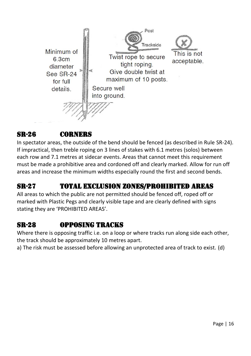

### SR-26 Corners

In spectator areas, the outside of the bend should be fenced (as described in Rule SR-24). If impractical, then treble roping on 3 lines of stakes with 6.1 metres (solos) between each row and 7.1 metres at sidecar events. Areas that cannot meet this requirement must be made a prohibitive area and cordoned off and clearly marked. Allow for run off areas and increase the minimum widths especially round the first and second bends.

## SR-27 Total Exclusion Zones/Prohibited Areas

All areas to which the public are not permitted should be fenced off, roped off or marked with Plastic Pegs and clearly visible tape and are clearly defined with signs stating they are 'PROHIBITED AREAS'.

### SR-28 Opposing Tracks

Where there is opposing traffic i.e. on a loop or where tracks run along side each other, the track should be approximately 10 metres apart.

a) The risk must be assessed before allowing an unprotected area of track to exist. (d)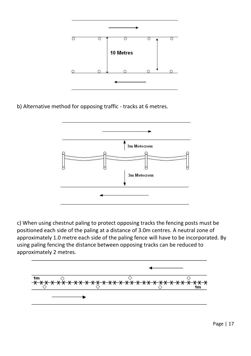

b) Alternative method for opposing traffic - tracks at 6 metres.



c) When using chestnut paling to protect opposing tracks the fencing posts must be positioned each side of the paling at a distance of 3.0m centres. A neutral zone of approximately 1.0 metre each side of the paling fence will have to be incorporated. By using paling fencing the distance between opposing tracks can be reduced to approximately 2 metres.

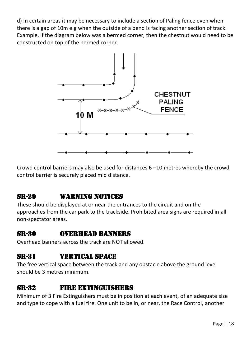d) In certain areas it may be necessary to include a section of Paling fence even when there is a gap of 10m e.g when the outside of a bend is facing another section of track. Example, if the diagram below was a bermed corner, then the chestnut would need to be constructed on top of the bermed corner.



Crowd control barriers may also be used for distances 6 –10 metres whereby the crowd control barrier is securely placed mid distance.

## SR-29 Warning Notices

These should be displayed at or near the entrances to the circuit and on the approaches from the car park to the trackside. Prohibited area signs are required in all non-spectator areas.

#### SR-30 Overhead Banners

Overhead banners across the track are NOT allowed.

#### SR-31 Vertical Space

The free vertical space between the track and any obstacle above the ground level should be 3 metres minimum.

#### SR-32 Fire Extinguishers

Minimum of 3 Fire Extinguishers must be in position at each event, of an adequate size and type to cope with a fuel fire. One unit to be in, or near, the Race Control, another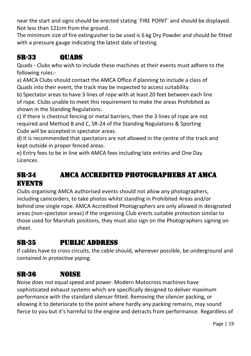near the start and signs should be erected stating `FIRE POINT` and should be displayed. Not less than 121cm from the ground.

The minimum size of fire extinguisher to be used is 6 kg Dry Powder and should be fitted with a pressure gauge indicating the latest date of testing.

## SR-33 QUADS

Quads - Clubs who wish to include these machines at their events must adhere to the following rules:-

a) AMCA Clubs should contact the AMCA Office if planning to include a class of Quads into their event, the track may be inspected to access suitability.

b) Spectator areas to have 3 lines of rope with at least 20 feet between each line of rope. Clubs unable to meet this requirement to make the areas Prohibited as shown in the Standing Regulations.

c) If there is chestnut fencing or metal barriers, then the 3 lines of rope are not required and Method B and C, SR-24 of the Standing Regulations & Sporting Code will be accepted in spectator areas.

d) It is recommended that spectators are not allowed in the centre of the track and kept outside in proper fenced areas.

e) Entry fees to be in line with AMCA fees including late entries and One Day Licences.

## SR-34 AMCA ACCREDITED Photographers at AMCA **EVENTS**

Clubs organising AMCA authorised events should not allow any photographers, including camcorders, to take photos whilst standing in Prohibited Areas and/or behind one single rope. AMCA Accredited Photographers are only allowed in designated areas (non-spectator areas) if the organising Club erects suitable protection similar to those used for Marshals positions, they must also sign on the Photographers signing on sheet.

## SR-35 Public Address

If cables have to cross circuits, the cable should, whenever possible, be underground and contained in protective piping.

## SR-36 Noise

Noise does not equal speed and power. Modern Motocross machines have sophisticated exhaust systems which are specifically designed to deliver maximum performance with the standard silencer fitted. Removing the silencer packing, or allowing it to deteriorate to the point where hardly any packing remains, may sound fierce to you but it's harmful to the engine and detracts from performance. Regardless of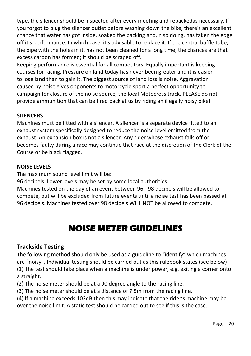type, the silencer should be inspected after every meeting and repackedas necessary. If you forgot to plug the silencer outlet before washing down the bike, there's an excellent chance that water has got inside, soaked the packing and,in so doing, has taken the edge off it's performance. In which case, it's advisable to replace it. If the central baffle tube, the pipe with the holes in it, has not been cleaned for a long time, the chances are that excess carbon has formed; it should be scraped off.

Keeping performance is essential for all competitors. Equally important is keeping courses for racing. Pressure on land today has never been greater and it is easier to lose land than to gain it. The biggest source of land loss is noise. Aggravation caused by noise gives opponents to motorcycle sport a perfect opportunity to campaign for closure of the noise source, the local Motocross track. PLEASE do not provide ammunition that can be fired back at us by riding an illegally noisy bike!

#### **SILENCERS**

Machines must be fitted with a silencer. A silencer is a separate device fitted to an exhaust system specifically designed to reduce the noise level emitted from the exhaust. An expansion box is not a silencer. Any rider whose exhaust falls off or becomes faulty during a race may continue that race at the discretion of the Clerk of the Course or be black flagged.

#### **NOISE LEVELS**

The maximum sound level limit will be:

96 decibels. Lower levels may be set by some local authorities.

Machines tested on the day of an event between 96 - 98 decibels will be allowed to compete, but will be excluded from future events until a noise test has been passed at 96 decibels. Machines tested over 98 decibels WILL NOT be allowed to compete.

## **NOISE METER GUIDELINES**

#### **Trackside Testing**

The following method should only be used as a guideline to "identify" which machines are "noisy", Individual testing should be carried out as this rulebook states (see below) (1) The test should take place when a machine is under power, e.g. exiting a corner onto a straight.

(2) The noise meter should be at a 90 degree angle to the racing line.

(3) The noise meter should be at a distance of 7.5m from the racing line.

(4) If a machine exceeds 102dB then this may indicate that the rider's machine may be over the noise limit. A static test should be carried out to see if this is the case.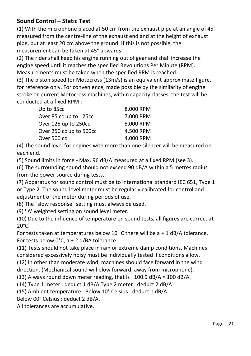#### **Sound Control – Static Test**

(1) With the microphone placed at 50 cm from the exhaust pipe at an angle of 45° measured from the centre-line of the exhaust end and at the height of exhaust pipe, but at least 20 cm above the ground. If this is not possible, the measurement can be taken at 45° upwards.

(2) The rider shall keep his engine running out of gear and shall increase the engine speed until it reaches the specified Revolutions Per Minute (RPM). Measurements must be taken when the specified RPM is reached.

(3) The piston speed for Motocross (13m/s) is an equivalent approximate figure, for reference only. For convenience, made possible by the similarity of engine stroke on current Motocross machines, within capacity classes, the test will be conducted at a fixed RPM :

| Up to 85cc              | 8,000 RPM |
|-------------------------|-----------|
| Over 85 cc up to 125cc  | 7,000 RPM |
| Over 125 up to 250cc    | 5,000 RPM |
| Over 250 cc up to 500cc | 4.500 RPM |
| Over 500 cc             | 4,000 RPM |

(4) The sound level for engines with more than one silencer will be measured on each end.

(5) Sound limits in force - Max. 96 dB/A measured at a fixed RPM (see 3).

(6) The surrounding sound should not exceed 90 dB/A within a 5 metres radius from the power source during tests.

(7) Apparatus for sound control must be to international standard IEC 651, Type 1 or Type 2. The sound level meter must be regularly calibrated for control and adjustment of the meter during periods of use.

(8) The "slow response" setting must always be used.

(9) ' A' weighted setting on sound level meter.

(10) Due to the influence of temperature on sound tests, all figures are correct at 20°C.

For tests taken at temperatures below 10° C there will be a + 1 dB/A tolerance. For tests below 0°C, a + 2 d/BA tolerance.

(11) Tests should not take place in rain or extreme damp conditions. Machines considered excessively noisy must be individually tested if conditions allow.

(12) In other than moderate wind, machines should face forward in the wind direction. (Mechanical sound will blow forward, away from microphone).

(13) Always round down meter reading, that is : 100.9 dB/A = 100 dB/A.

(14) Type 1 meter : deduct 1 dB/A Type 2 meter : deduct 2 dB/A

(15) Ambient temperature : Below 10° Celsius : deduct 1 dB/A

Below 00° Celsius : deduct 2 dB/A.

All tolerances are accumulative.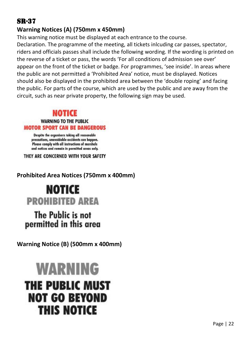## SR-37

#### **Warning Notices (A) (750mm x 450mm)**

This warning notice must be displayed at each entrance to the course. Declaration. The programme of the meeting, all tickets inlcuding car passes, spectator, riders and officials passes shall include the following wording. If the wording is printed on the reverse of a ticket or pass, the words 'For all conditions of admission see over' appear on the front of the ticket or badge. For programmes, 'see inside'. In areas where the public are not permitted a 'Prohibited Area' notice, must be displayed. Notices should also be displayed in the prohibited area between the 'double roping' and facing the public. For parts of the course, which are used by the public and are away from the circuit, such as near private property, the following sign may be used.

#### NOTICE **WARNING TO THE PUBLIC MOTOR SPORT CAN BE DANGEROUS**

Despite the organisers taking all reasonable precautions, unavoidable accidents can happen. Please comply with all instructions of marshals and notices and remain in permitted areas only.

THEY ARE CONCERNED WITH YOUR SAFETY

#### **Prohibited Area Notices (750mm x 400mm)**

# **NOTICE PROHIRITED AREA**

## The Public is not permitted in this area

**Warning Notice (B) (500mm x 400mm)**

# **WARNING THE PUBLIC MUST NOT GO REYOND THIS NOTICE**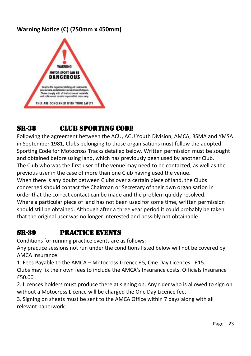#### **Warning Notice (C) (750mm x 450mm)**



## SR-38 **CLUB SPORTING CODE**

Following the agreement between the ACU, ACU Youth Division, AMCA, BSMA and YMSA in September 1981, Clubs belonging to those organisations must follow the adopted Sporting Code for Motocross Tracks detailed below. Written permission must be sought and obtained before using land, which has previously been used by another Club. The Club who was the first user of the venue may need to be contacted, as well as the previous user in the case of more than one Club having used the venue. When there is any doubt between Clubs over a certain piece of land, the Clubs concerned should contact the Chairman or Secretary of their own organisation in order that the correct contact can be made and the problem quickly resolved. Where a particular piece of land has not been used for some time, written permission should still be obtained. Although after a three year period it could probably be taken that the original user was no longer interested and possibly not obtainable.

#### SR-39 Practice Events

Conditions for running practice events are as follows:

Any practice sessions not run under the conditions listed below will not be covered by AMCA Insurance.

1. Fees Payable to the AMCA – Motocross Licence £5, One Day Licences - £15. Clubs may fix their own fees to include the AMCA's Insurance costs. Officials Insurance £50.00

2. Licences holders must produce there at signing on. Any rider who is allowed to sign on without a Motocross Licence will be charged the One Day Licence fee.

3. Signing on sheets must be sent to the AMCA Office within 7 days along with all relevant paperwork.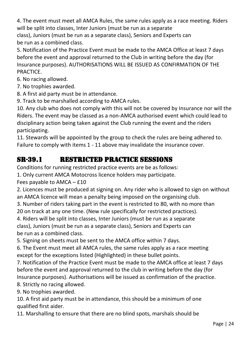4. The event must meet all AMCA Rules, the same rules apply as a race meeting. Riders will be split into classes, Inter Juniors (must be run as a separate

class), Juniors (must be run as a separate class), Seniors and Experts can be run as a combined class.

5. Notification of the Practice Event must be made to the AMCA Office at least 7 days before the event and approval returned to the Club in writing before the day (for Insurance purposes). AUTHORISATIONS WILL BE ISSUED AS CONFIRMATION OF THE PRACTICE.

6. No racing allowed.

7. No trophies awarded.

8. A first aid party must be in attendance.

9. Track to be marshalled according to AMCA rules.

10. Any club who does not comply with this will not be covered by Insurance nor will the Riders. The event may be classed as a non-AMCA authorised event which could lead to disciplinary action being taken against the Club running the event and the riders participating.

11. Stewards will be appointed by the group to check the rules are being adhered to. Failure to comply with items 1 - 11 above may invalidate the insurance cover.

## SR-39.1 RESTRICTED PRACTICE SESSIONS

Conditions for running restricted practice events are be as follows:

1. Only current AMCA Motocross licence holders may participate.

Fees payable to AMCA – £10

2. Licences must be produced at signing on. Any rider who is allowed to sign on without an AMCA licence will mean a penalty being imposed on the organising club.

3. Number of riders taking part in the event is restricted to 80, with no more than

20 on track at any one time. (New rule specifically for restricted practices).

4. Riders will be split into classes, Inter Juniors (must be run as a separate class), Juniors (must be run as a separate class), Seniors and Experts can be run as a combined class.

5. Signing on sheets must be sent to the AMCA office within 7 days.

6. The Event must meet all AMCA rules, the same rules apply as a race meeting except for the exceptions listed (Highlighted) in these bullet points.

7. Notification of the Practice Event must be made to the AMCA office at least 7 days before the event and approval returned to the club in writing before the day (for Insurance purposes). Authorisations will be issued as confirmation of the practice.

8. Strictly no racing allowed.

9. No trophies awarded.

10. A first aid party must be in attendance, this should be a minimum of one qualified first aider.

11. Marshalling to ensure that there are no blind spots, marshals should be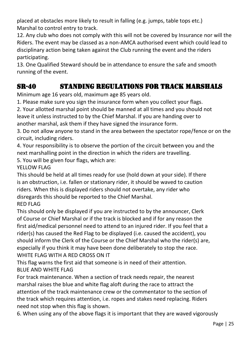placed at obstacles more likely to result in falling (e.g. jumps, table tops etc.) Marshal to control entry to track.

12. Any club who does not comply with this will not be covered by Insurance nor will the Riders. The event may be classed as a non-AMCA authorised event which could lead to disciplinary action being taken against the Club running the event and the riders participating.

13. One Qualified Steward should be in attendance to ensure the safe and smooth running of the event.

## SR-40 Standing Regulations for Track Marshals

Minimum age 16 years old, maximum age 85 years old.

1. Please make sure you sign the insurance form when you collect your flags.

2. Your allotted marshal point should be manned at all times and you should not leave it unless instructed to by the Chief Marshal. If you are handing over to another marshal, ask them if they have signed the insurance form.

3. Do not allow anyone to stand in the area between the spectator rope/fence or on the circuit, including riders.

4. Your responsibility is to observe the portion of the circuit between you and the next marshalling point in the direction in which the riders are travelling.

5. You will be given four flags, which are:

YFILOW FLAG

This should be held at all times ready for use (hold down at your side). If there is an obstruction, i.e. fallen or stationary rider, it should be waved to caution riders. When this is displayed riders should not overtake, any rider who disregards this should be reported to the Chief Marshal. RED FLAG

This should only be displayed if you are instructed to by the announcer, Clerk of Course or Chief Marshal or if the track is blocked and if for any reason the first aid/medical personnel need to attend to an injured rider. If you feel that a rider(s) has caused the Red Flag to be displayed (i.e. caused the accident), you should inform the Clerk of the Course or the Chief Marshal who the rider(s) are, especially if you think it may have been done deliberately to stop the race. WHITE FLAG WITH A RED CROSS ON IT

This flag warns the first aid that someone is in need of their attention. BLUE AND WHITE FLAG

For track maintenance. When a section of track needs repair, the nearest marshal raises the blue and white flag aloft during the race to attract the attention of the track maintenance crew or the commentator to the section of the track which requires attention, i.e. ropes and stakes need replacing. Riders need not stop when this flag is shown.

6. When using any of the above flags it is important that they are waved vigorously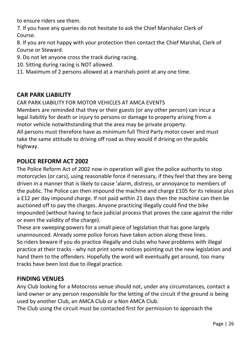to ensure riders see them.

7. If you have any queries do not hesitate to ask the Chief Marshalor Clerk of Course.

8. If you are not happy with your protection then contact the Chief Marshal, Clerk of Course or Steward.

- 9. Do not let anyone cross the track during racing.
- 10. Sitting during racing is NOT allowed.
- 11. Maximum of 2 persons allowed at a marshals point at any one time.

#### **CAR PARK LIABILITY**

CAR PARK LIABILITY FOR MOTOR VEHICLES AT AMCA EVENTS

Members are reminded that they or their guests (or any other person) can incur a legal liability for death or injury to persons or damage to property arising from a motor vehicle notwithstanding that the area may be private property. All persons must therefore have as minimum full Third Party motor cover and must take the same attitude to driving off road as they would if driving on the public highway.

#### **POLICE REFORM ACT 2002**

The Police Reform Act of 2002 now in operation will give the police authority to stop motorcycles (or cars), using reasonable force if necessary, if they feel that they are being driven in a manner that is likely to cause 'alarm, distress, or annoyance to members of the public. The Police can then impound the machine and charge £105 for its release plus a £12 per day impound charge. If not paid within 21 days then the machine can then be auctioned off to pay the charges. Anyone practicing illegally could find the bike impounded (without having to face judicial process that proves the case against the rider or even the validity of the charge).

These are sweeping powers for a small piece of legislation that has gone largely unannounced. Already some police forces have taken action along these lines. So riders beware if you do practice illegally and clubs who have problems with illegal practice at their tracks - why not print some notices pointing out the new legislation and hand them to the offenders. Hopefully the word will eventually get around, too many tracks have been lost due to illegal practice.

#### **FINDING VENUES**

Any Club looking for a Motocross venue should not, under any circumstances, contact a land owner or any person responsible for the letting of the circuit if the ground is being used by another Club, an AMCA Club or a Non AMCA Club.

The Club using the circuit must be contacted first for permission to approach the